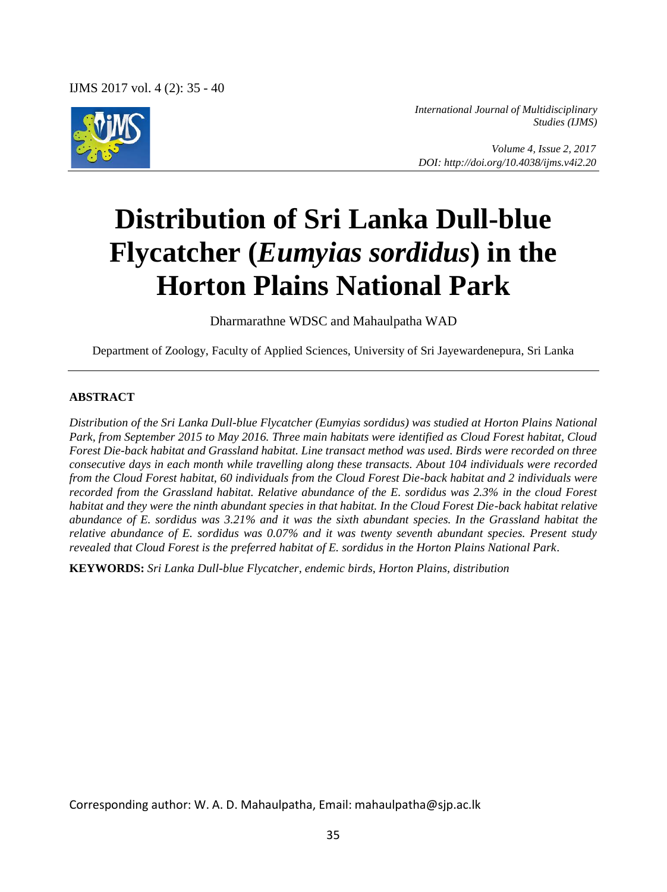

*International Journal of Multidisciplinary Studies (IJMS)* 

 *Volume 4, Issue 2, 2017 DOI: http://doi.org/10.4038/ijms.v4i2.20*

# **Distribution of Sri Lanka Dull-blue Flycatcher (***Eumyias sordidus***) in the Horton Plains National Park**

Dharmarathne WDSC and Mahaulpatha WAD

Department of Zoology, Faculty of Applied Sciences, University of Sri Jayewardenepura, Sri Lanka

#### **ABSTRACT**

*Distribution of the Sri Lanka Dull-blue Flycatcher (Eumyias sordidus) was studied at Horton Plains National Park, from September 2015 to May 2016. Three main habitats were identified as Cloud Forest habitat, Cloud Forest Die-back habitat and Grassland habitat. Line transact method was used. Birds were recorded on three consecutive days in each month while travelling along these transacts. About 104 individuals were recorded from the Cloud Forest habitat, 60 individuals from the Cloud Forest Die-back habitat and 2 individuals were recorded from the Grassland habitat. Relative abundance of the E. sordidus was 2.3% in the cloud Forest habitat and they were the ninth abundant species in that habitat. In the Cloud Forest Die-back habitat relative abundance of E. sordidus was 3.21% and it was the sixth abundant species. In the Grassland habitat the relative abundance of E. sordidus was 0.07% and it was twenty seventh abundant species. Present study revealed that Cloud Forest is the preferred habitat of E. sordidus in the Horton Plains National Park.*

**KEYWORDS:** *Sri Lanka Dull-blue Flycatcher, endemic birds, Horton Plains, distribution* 

Corresponding author: W. A. D. Mahaulpatha, Email: mahaulpatha@sjp.ac.lk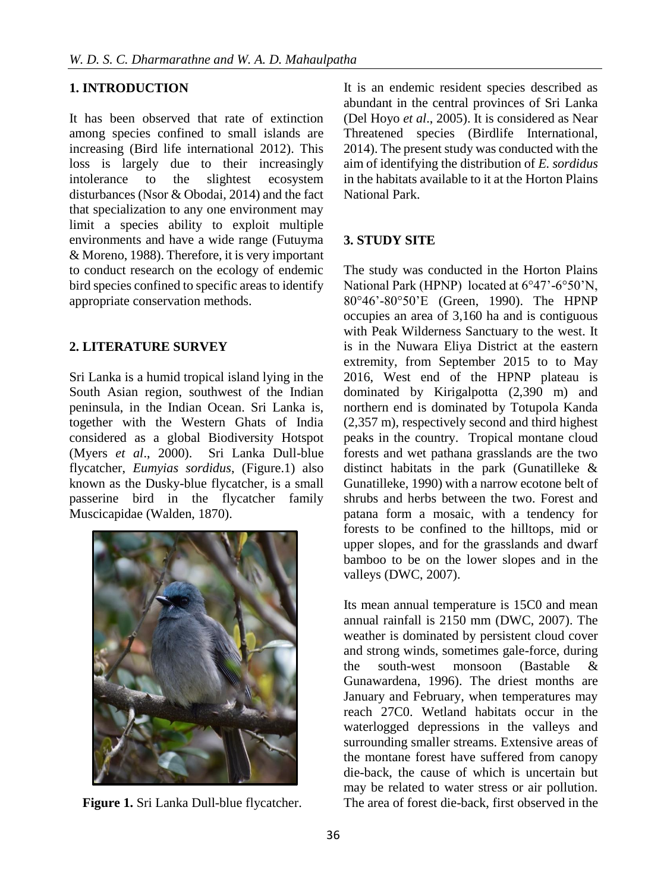## **1. INTRODUCTION**

It has been observed that rate of extinction among species confined to small islands are increasing (Bird life international 2012). This loss is largely due to their increasingly intolerance to the slightest ecosystem disturbances (Nsor & Obodai, 2014) and the fact that specialization to any one environment may limit a species ability to exploit multiple environments and have a wide range (Futuyma & Moreno, 1988). Therefore, it is very important to conduct research on the ecology of endemic bird species confined to specific areas to identify appropriate conservation methods.

## **2. LITERATURE SURVEY**

Sri Lanka is a humid tropical island lying in the South Asian region, southwest of the Indian peninsula, in the Indian Ocean. Sri Lanka is, together with the Western Ghats of India considered as a global Biodiversity Hotspot (Myers *et al*., 2000). Sri Lanka Dull-blue flycatcher, *Eumyias sordidus*, (Figure.1) also known as the Dusky-blue flycatcher, is a small passerine bird in the flycatcher family Muscicapidae (Walden, 1870).



**Figure 1.** Sri Lanka Dull-blue flycatcher.

It is an endemic resident species described as abundant in the central provinces of Sri Lanka (Del Hoyo *et al*., 2005). It is considered as Near Threatened species (Birdlife International, 2014). The present study was conducted with the aim of identifying the distribution of *E. sordidus* in the habitats available to it at the Horton Plains National Park.

#### **3. STUDY SITE**

The study was conducted in the Horton Plains National Park (HPNP) located at 6°47'-6°50'N, 80°46'-80°50'E (Green, 1990). The HPNP occupies an area of 3,160 ha and is contiguous with Peak Wilderness Sanctuary to the west. It is in the Nuwara Eliya District at the eastern extremity, from September 2015 to to May 2016, West end of the HPNP plateau is dominated by Kirigalpotta (2,390 m) and northern end is dominated by Totupola Kanda (2,357 m), respectively second and third highest peaks in the country. Tropical montane cloud forests and wet pathana grasslands are the two distinct habitats in the park (Gunatilleke & Gunatilleke, 1990) with a narrow ecotone belt of shrubs and herbs between the two. Forest and patana form a mosaic, with a tendency for forests to be confined to the hilltops, mid or upper slopes, and for the grasslands and dwarf bamboo to be on the lower slopes and in the valleys (DWC, 2007).

Its mean annual temperature is 15C0 and mean annual rainfall is 2150 mm (DWC, 2007). The weather is dominated by persistent cloud cover and strong winds, sometimes gale-force, during the south-west monsoon (Bastable & Gunawardena, 1996). The driest months are January and February, when temperatures may reach 27C0. Wetland habitats occur in the waterlogged depressions in the valleys and surrounding smaller streams. Extensive areas of the montane forest have suffered from canopy die-back, the cause of which is uncertain but may be related to water stress or air pollution. The area of forest die-back, first observed in the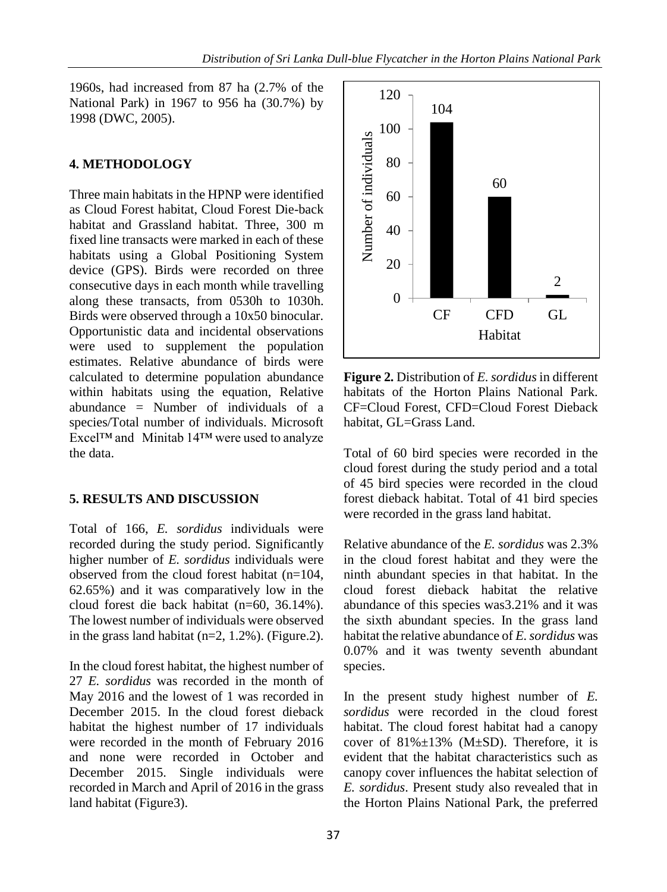1960s, had increased from 87 ha (2.7% of the National Park) in 1967 to 956 ha (30.7%) by 1998 (DWC, 2005).

#### **4. METHODOLOGY**

Three main habitats in the HPNP were identified as Cloud Forest habitat, Cloud Forest Die-back habitat and Grassland habitat. Three, 300 m fixed line transacts were marked in each of these habitats using a Global Positioning System device (GPS). Birds were recorded on three consecutive days in each month while travelling along these transacts, from 0530h to 1030h. Birds were observed through a 10x50 binocular. Opportunistic data and incidental observations were used to supplement the population estimates. Relative abundance of birds were calculated to determine population abundance within habitats using the equation, Relative abundance  $=$  Number of individuals of a species/Total number of individuals. Microsoft Excel™ and Minitab 14™ were used to analyze the data.

#### **5. RESULTS AND DISCUSSION**

Total of 166, *E. sordidus* individuals were recorded during the study period. Significantly higher number of *E. sordidus* individuals were observed from the cloud forest habitat (n=104, 62.65%) and it was comparatively low in the cloud forest die back habitat (n=60, 36.14%). The lowest number of individuals were observed in the grass land habitat (n=2, 1.2%). (Figure.2).

In the cloud forest habitat, the highest number of 27 *E. sordidus* was recorded in the month of May 2016 and the lowest of 1 was recorded in December 2015. In the cloud forest dieback habitat the highest number of 17 individuals were recorded in the month of February 2016 and none were recorded in October and December 2015. Single individuals were recorded in March and April of 2016 in the grass land habitat (Figure3).



**Figure 2.** Distribution of *E. sordidus* in different habitats of the Horton Plains National Park. CF=Cloud Forest, CFD=Cloud Forest Dieback habitat, GL=Grass Land.

Total of 60 bird species were recorded in the cloud forest during the study period and a total of 45 bird species were recorded in the cloud forest dieback habitat. Total of 41 bird species were recorded in the grass land habitat.

Relative abundance of the *E. sordidus* was 2.3% in the cloud forest habitat and they were the ninth abundant species in that habitat. In the cloud forest dieback habitat the relative abundance of this species was3.21% and it was the sixth abundant species. In the grass land habitat the relative abundance of *E. sordidus* was 0.07% and it was twenty seventh abundant species.

In the present study highest number of *E. sordidus* were recorded in the cloud forest habitat. The cloud forest habitat had a canopy cover of  $81\% \pm 13\%$  (M $\pm$ SD). Therefore, it is evident that the habitat characteristics such as canopy cover influences the habitat selection of *E. sordidus*. Present study also revealed that in the Horton Plains National Park, the preferred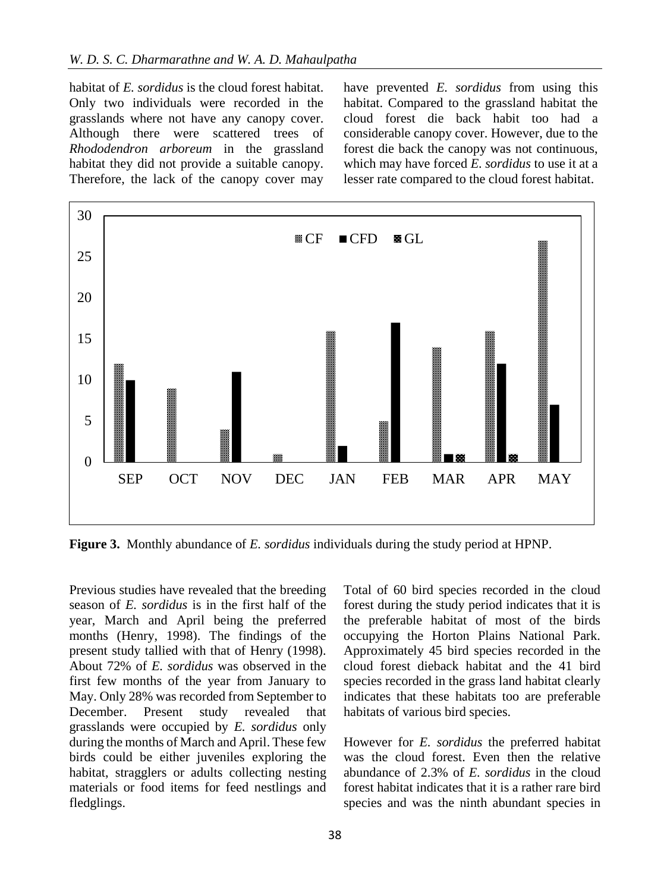habitat of *E. sordidus* is the cloud forest habitat. Only two individuals were recorded in the grasslands where not have any canopy cover. Although there were scattered trees of *Rhododendron arboreum* in the grassland habitat they did not provide a suitable canopy. Therefore, the lack of the canopy cover may

have prevented *E. sordidus* from using this habitat. Compared to the grassland habitat the cloud forest die back habit too had a considerable canopy cover. However, due to the forest die back the canopy was not continuous, which may have forced *E. sordidus* to use it at a lesser rate compared to the cloud forest habitat.



**Figure 3.** Monthly abundance of *E. sordidus* individuals during the study period at HPNP.

Previous studies have revealed that the breeding season of *E. sordidus* is in the first half of the year, March and April being the preferred months (Henry, 1998). The findings of the present study tallied with that of Henry (1998). About 72% of *E. sordidus* was observed in the first few months of the year from January to May. Only 28% was recorded from September to December. Present study revealed that grasslands were occupied by *E. sordidus* only during the months of March and April. These few birds could be either juveniles exploring the habitat, stragglers or adults collecting nesting materials or food items for feed nestlings and fledglings.

Total of 60 bird species recorded in the cloud forest during the study period indicates that it is the preferable habitat of most of the birds occupying the Horton Plains National Park. Approximately 45 bird species recorded in the cloud forest dieback habitat and the 41 bird species recorded in the grass land habitat clearly indicates that these habitats too are preferable habitats of various bird species.

However for *E. sordidus* the preferred habitat was the cloud forest. Even then the relative abundance of 2.3% of *E. sordidus* in the cloud forest habitat indicates that it is a rather rare bird species and was the ninth abundant species in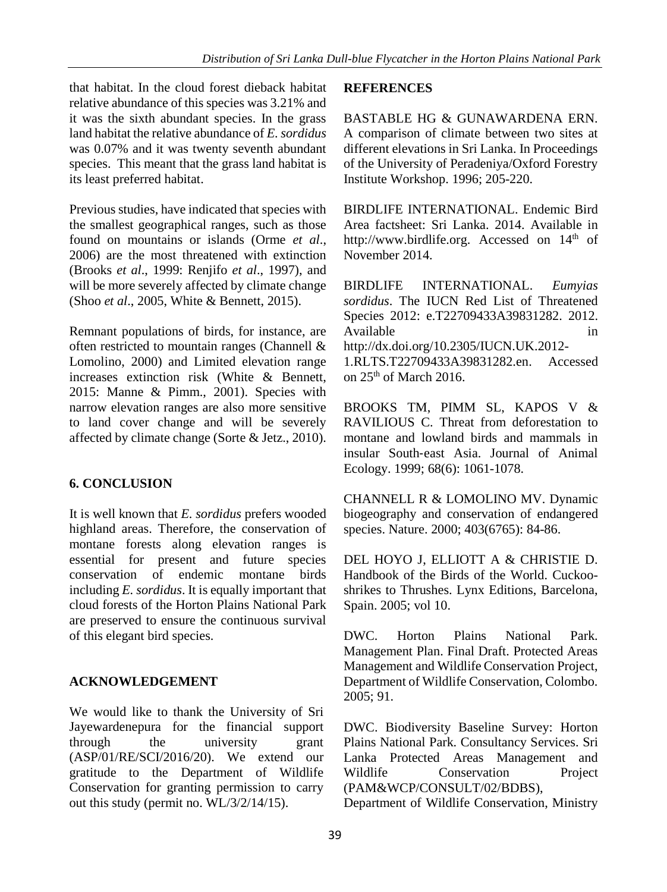that habitat. In the cloud forest dieback habitat relative abundance of this species was 3.21% and it was the sixth abundant species. In the grass land habitat the relative abundance of *E. sordidus* was 0.07% and it was twenty seventh abundant species. This meant that the grass land habitat is its least preferred habitat.

Previous studies, have indicated that species with the smallest geographical ranges, such as those found on mountains or islands (Orme *et al*., 2006) are the most threatened with extinction (Brooks *et al*., 1999: Renjifo *et al*., 1997), and will be more severely affected by climate change (Shoo *et al*., 2005, White & Bennett, 2015).

Remnant populations of birds, for instance, are often restricted to mountain ranges (Channell & Lomolino, 2000) and Limited elevation range increases extinction risk (White & Bennett, 2015: Manne & Pimm., 2001). Species with narrow elevation ranges are also more sensitive to land cover change and will be severely affected by climate change (Sorte & Jetz., 2010).

# **6. CONCLUSION**

It is well known that *E. sordidus* prefers wooded highland areas. Therefore, the conservation of montane forests along elevation ranges is essential for present and future species conservation of endemic montane birds including *E. sordidus*. It is equally important that cloud forests of the Horton Plains National Park are preserved to ensure the continuous survival of this elegant bird species.

# **ACKNOWLEDGEMENT**

We would like to thank the University of Sri Jayewardenepura for the financial support through the university grant (ASP/01/RE/SCI/2016/20). We extend our gratitude to the Department of Wildlife Conservation for granting permission to carry out this study (permit no. WL/3/2/14/15).

#### **REFERENCES**

BASTABLE HG & GUNAWARDENA ERN. A comparison of climate between two sites at different elevations in Sri Lanka. In Proceedings of the University of Peradeniya/Oxford Forestry Institute Workshop. 1996; 205-220.

BIRDLIFE INTERNATIONAL. Endemic Bird Area factsheet: Sri Lanka. 2014. Available in http://www.birdlife.org. Accessed on 14<sup>th</sup> of November 2014.

BIRDLIFE INTERNATIONAL. *Eumyias sordidus*. The IUCN Red List of Threatened Species 2012: e.T22709433A39831282. 2012. Available in the interval of  $\overline{a}$  in http://dx.doi.org/10.2305/IUCN.UK.2012- 1.RLTS.T22709433A39831282.en. Accessed

on  $25<sup>th</sup>$  of March 2016.

BROOKS TM, PIMM SL, KAPOS V & RAVILIOUS C. Threat from deforestation to montane and lowland birds and mammals in insular South‐east Asia. Journal of Animal Ecology. 1999; 68(6): 1061-1078.

CHANNELL R & LOMOLINO MV. Dynamic biogeography and conservation of endangered species. Nature. 2000; 403(6765): 84-86.

DEL HOYO J, ELLIOTT A & CHRISTIE D. Handbook of the Birds of the World. Cuckooshrikes to Thrushes. Lynx Editions, Barcelona, Spain. 2005; vol 10.

DWC. Horton Plains National Park. Management Plan. Final Draft. Protected Areas Management and Wildlife Conservation Project, Department of Wildlife Conservation, Colombo. 2005; 91.

DWC. Biodiversity Baseline Survey: Horton Plains National Park. Consultancy Services. Sri Lanka Protected Areas Management and Wildlife Conservation Project (PAM&WCP/CONSULT/02/BDBS), Department of Wildlife Conservation, Ministry